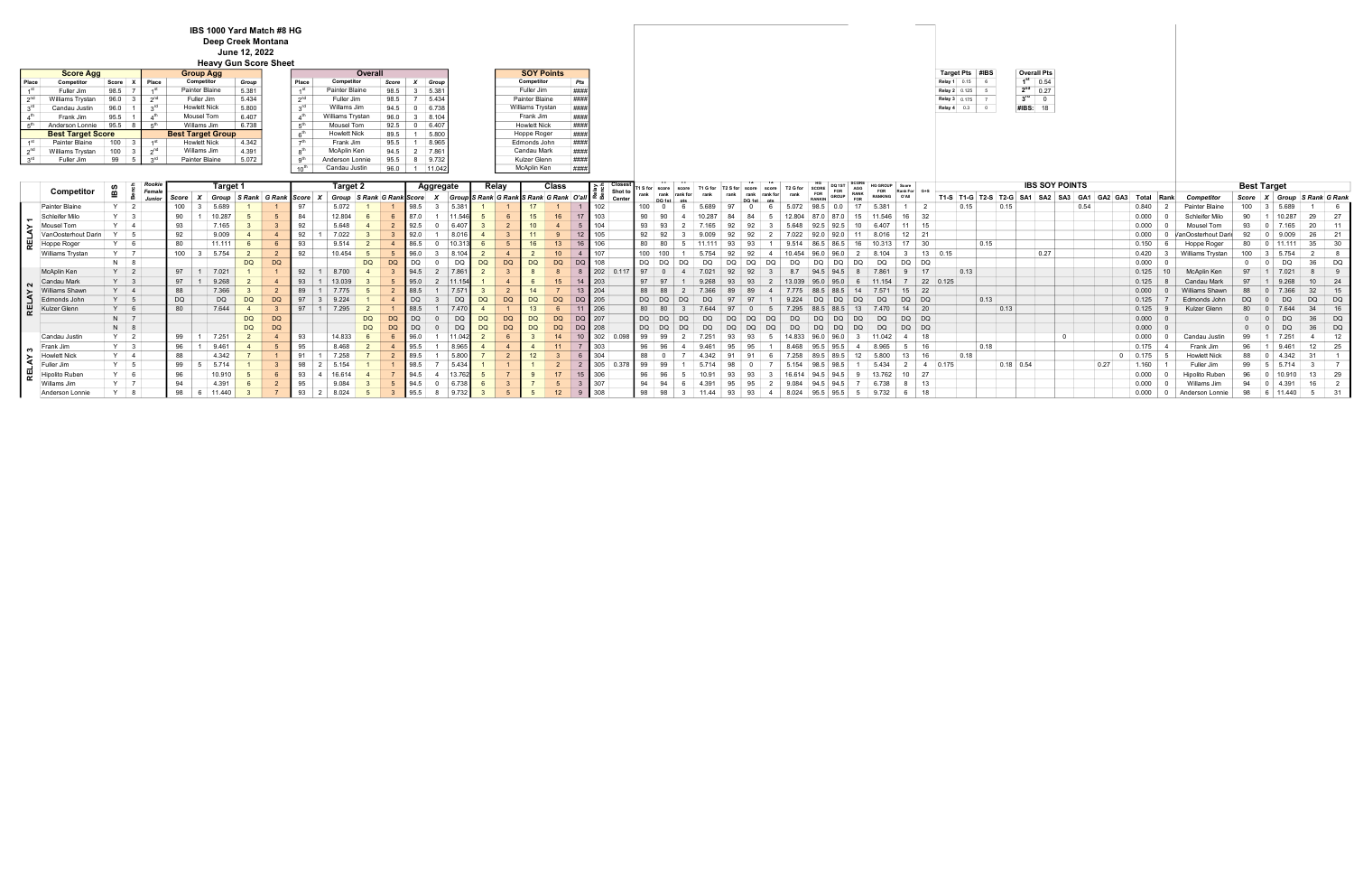|                 | <b>Overall Pts</b> |
|-----------------|--------------------|
| 1st             | 0.54               |
| 2 <sup>nd</sup> | 0.27               |
| $3^{\text{rd}}$ |                    |
| #IBS:           | 18                 |

|         | Competitor          |            | Rooki<br>Female          |       | Target 1 |           |                     |    | Target : |           |                           |                  | Aggregate |                                                   | Relay     | Class     |               |                  |          |  |  |       |       |            | FOR     | Rank For G+S |                |                                 |                    | <b>IBS SOY POINTS</b> |                |                                    |             |          |                  | <b>Best Target</b> |        |                     |     |
|---------|---------------------|------------|--------------------------|-------|----------|-----------|---------------------|----|----------|-----------|---------------------------|------------------|-----------|---------------------------------------------------|-----------|-----------|---------------|------------------|----------|--|--|-------|-------|------------|---------|--------------|----------------|---------------------------------|--------------------|-----------------------|----------------|------------------------------------|-------------|----------|------------------|--------------------|--------|---------------------|-----|
|         |                     | ВS         |                          | Score | Group    |           | S Rank G Rank Score |    |          |           | Group S Rank G Rank Score |                  |           | Group S Rank G Rank S Rank G Rank   O'all   ≃ັ ¤ຶ |           |           |               | Shot t<br>Center | rank     |  |  |       | GROUP | <b>FOR</b> | RANKING |              |                | T1-S   T1-G   T2-S   T2-G   SA1 |                    | SA <sub>2</sub>       |                | GA <sub>1</sub><br>GA <sub>2</sub> | Total       | Rank     | Competin.        | Score              |        | Group S Rank G Rank |     |
|         | Painter Blaine      |            |                          | 100   | 5.689    |           |                     |    |          |           |                           |                  |           |                                                   |           |           |               |                  |          |  |  |       |       |            |         |              |                |                                 | 0.15               |                       |                | 0.54                               | 0.840       |          | Painter Blaine   | 100                |        |                     |     |
|         | Schleifer Milo      |            | $\overline{\phantom{a}}$ | 90    | 10.287   |           |                     |    | 12.804   |           |                           | 87 O             |           |                                                   |           | 16        | 17            | 10               |          |  |  |       |       |            |         | $16 \mid 32$ |                |                                 |                    |                       |                |                                    | 0.000       |          | Schleifer        |                    |        |                     |     |
|         | Mousel Tom          |            | $\vert$ 4                |       | 7.165    |           |                     |    | 5.648    |           |                           |                  |           |                                                   |           |           |               | 104              |          |  |  |       |       |            |         | 11   15      |                |                                 |                    |                       |                |                                    | 0.000       |          |                  |                    |        |                     |     |
|         | VanOosterhout Darin |            |                          |       | 9.009    |           |                     |    |          |           |                           |                  |           |                                                   |           |           |               |                  |          |  |  |       |       |            |         |              |                |                                 |                    |                       |                |                                    | 0.000       |          |                  |                    |        |                     |     |
| 분       | Hoppe Roger         |            | $\overline{6}$           |       | 11.111   |           |                     |    | 9.514    |           |                           |                  | 10.3      |                                                   |           |           |               |                  |          |  |  | 9.514 |       |            |         | $17 \mid 30$ |                |                                 | 0.15               |                       |                |                                    | 0.150       |          | Hoppe Roger      | 80                 |        |                     |     |
|         | Williams Trystan    |            | $Y \mid 7$               | 100   | 5.754    |           |                     | 92 | 10.454   |           |                           |                  |           |                                                   |           |           |               | 10'              | 100      |  |  |       |       |            |         |              | $13 \mid 0.15$ |                                 |                    | 0.27                  |                |                                    | 0.420       |          | Williams Trystan | 100                |        |                     |     |
|         |                     | $N$ 8      |                          |       |          | <b>DQ</b> | DQ                  |    |          | <b>DQ</b> | <b>DQ</b>                 | <b>DO</b>        | D         | <b>DQ</b>                                         | DQ        | <b>DQ</b> | DQ            |                  |          |  |  |       | DС    |            |         | DQ           | DQ             |                                 |                    |                       |                |                                    | 0.000       | - 0      |                  |                    |        |                     | DC  |
|         | McAplin Ken         | $Y \mid 2$ |                          |       | 7.021    |           |                     | 92 |          |           |                           |                  |           |                                                   |           |           |               | 1202             | $\Omega$ |  |  |       |       |            |         |              |                | 0.13                            |                    |                       |                |                                    | 0.125       |          | McAplin Ken      |                    |        |                     |     |
|         | Candau Mark         | $Y \mid 3$ |                          |       |          |           |                     |    |          |           |                           |                  |           |                                                   |           |           |               |                  |          |  |  |       |       |            |         |              | 22 0.125       |                                 |                    |                       |                |                                    | 0.125       |          |                  |                    |        |                     |     |
| $\succ$ | Williams Shawn      |            | $Y \mid 4$               |       | 7.366    |           |                     | 89 |          |           |                           | 88.5             |           |                                                   |           |           | 13 204        |                  |          |  |  |       |       |            |         | $15 \mid 22$ |                |                                 |                    |                       |                |                                    | 0.000       |          | Williams         |                    |        |                     |     |
|         | Edmonds John        |            | $Y \mid 5$               | DQ    | DQ       | DQ        | <b>DQ</b>           |    | 9.224    |           |                           | DQ               |           | DQ                                                |           | DQ        | DQ 205        |                  | DQ       |  |  |       | DQ.   |            |         | DQ           | DQ             |                                 | $\vert 0.13 \vert$ |                       |                |                                    | 0.125       |          | Edmonds John     | DQ.                |        |                     |     |
| 퓓       | Kulzer Glenn        |            | $Y$ 6                    | 80    | 7.644    |           |                     | 97 | 7.295    |           |                           | 88.5             | 7.47      |                                                   |           |           | $11 \mid 206$ |                  |          |  |  |       |       |            |         | $14 \mid 20$ |                |                                 | 0.13               |                       |                |                                    | 0.125       |          | Kulzer Glenn     | 80                 |        |                     |     |
|         |                     | $N$ 7      |                          |       |          | <b>DQ</b> | DQ                  |    |          | <b>DQ</b> | DQ                        | <b>DO</b>        |           | DQ                                                | DQ        | DQ.       | DQ 207        |                  | DQ       |  |  |       | DQ.   |            |         | $DQ$ $DQ$    |                |                                 |                    |                       |                |                                    | 0.000       | $\Omega$ |                  |                    |        |                     | DQ. |
|         |                     | $N$ 8      |                          |       |          | <b>DQ</b> | DQ                  |    |          | <b>DQ</b> | <b>DQ</b>                 | DO.              | D)        | DQ                                                | <b>DC</b> | DQ        |               |                  |          |  |  |       | nc    |            |         | $DQ$ $DQ$    |                |                                 |                    |                       |                |                                    | $0.000 \ 0$ |          |                  |                    |        |                     | DQ  |
|         | Candau Justin       | $Y \mid 2$ |                          | 99    | 7.251    |           |                     |    | 14.833   |           |                           |                  |           |                                                   |           |           |               | 302              |          |  |  |       |       |            |         |              | 18             |                                 |                    |                       | $\overline{0}$ |                                    | 0.000       |          | Candau           | 99                 |        |                     |     |
|         | Frank Jim           |            | $Y \mid 3$               | 96    | 9.461    |           |                     | 95 | 8.468    |           |                           | 95.5             | 8.96      |                                                   |           |           |               |                  |          |  |  |       |       |            |         |              | 16             |                                 | 0.18               |                       |                |                                    | 0.175       |          | Frank Jim        | 96                 |        |                     |     |
|         | <b>Howlett Nick</b> |            | $Y \mid 4$               |       | 4.342    |           |                     |    |          |           |                           | 80 I             | 5.80      |                                                   |           |           |               |                  |          |  |  |       |       |            |         |              |                | 0.18                            |                    |                       |                |                                    | 0.175       |          | Howlett N        |                    |        |                     |     |
|         | Fuller Jim          |            | $Y \mid 5$               | 99    | 5.714    |           |                     | 98 |          |           |                           |                  | 5.43      |                                                   |           |           |               |                  |          |  |  |       |       |            |         |              | 0.175          |                                 |                    | $0.18$ 0.54           |                | 0.27                               | 1.160       |          | Fuller J         |                    |        |                     |     |
|         | Hipolito Ruben      |            | 6                        |       | 10.910   |           |                     |    |          |           |                           | $94\overline{5}$ |           |                                                   |           |           |               |                  |          |  |  |       |       |            |         | 10 27        |                |                                 |                    |                       |                |                                    | 0.000       |          | Hipolito Ruben   |                    |        |                     |     |
|         | Willams Jim         |            | $\overline{7}$           |       | 4.391    |           |                     |    | 9.084    |           |                           | 945              |           |                                                   |           |           |               | 307              |          |  |  |       |       |            |         |              | 13             |                                 |                    |                       |                |                                    | 0.000       |          | Willams          |                    |        |                     |     |
|         | Anderson Lonnie     |            |                          | 98    | 11.440   |           |                     | 93 | 8.024    |           |                           | 95.5             |           |                                                   |           |           |               | 308              | 98       |  |  |       |       |            | 9.732   |              | 18             |                                 |                    |                       |                |                                    | 0.000       |          | Anderson Lonnie  | 98                 | 11.440 |                     |     |

IBS 1000 Yard Match #8 HG Deep Creek Montana June 12, 2022

|           |                          |       |              | <b>Heavy Gun Score Sheet</b> |       |                 |                     |          |        |                             |  |  |                          |
|-----------|--------------------------|-------|--------------|------------------------------|-------|-----------------|---------------------|----------|--------|-----------------------------|--|--|--------------------------|
|           | <b>Score Agg</b>         |       |              | <b>Group Agg</b>             |       |                 | Overall             |          |        | <b>SOY Points</b>           |  |  | Target Pts #IBS          |
| Place     | Competitor               | Score | <b>Place</b> | Competitor                   | Group | Place           | Competitor          | Score    | Group  | Pts<br>Competitor           |  |  | Relay $1 \mid 0.15 \mid$ |
| 4 SL      | Fuller Jim               | 98.5  |              | Painter Blaine               | 5.381 | 4 SI            | Painter Blaine      | 98.5     | 5.381  | ####<br>Fuller Jim          |  |  | <b>Relay 2</b> 0.125     |
| $n^n$     | Williams Trystan         | 96.0  |              | Fuller Jim                   | 5.434 | $\gamma$ nd     | Fuller Jim          | 98.5     | 5.434  | Painter Blaine<br>####      |  |  | Relay 3 0.175            |
|           | Candau Justin            | 96.0  |              | <b>Howlett Nick</b>          | 5.800 | <sub>o</sub> rd | Willams Jim         | 94.5     | 6.738  | Williams Trystan<br>####    |  |  | Relay $4$ 0.3            |
|           | Frank Jim                | 95.5  |              | Mousel Tom                   | 6.407 |                 | Williams Trystan    | 96.0     | 8.104  | ####<br>Frank Jim           |  |  |                          |
|           | Anderson Lonnie          | 95.5  |              | Willams Jim                  | 6.738 | $E^{\text{th}}$ | Mousel Tom          | 92.5     | 6.407  | <b>Howlett Nick</b><br>#### |  |  |                          |
|           | <b>Best Target Score</b> |       |              | <b>Best Target Group</b>     |       | C <sup>th</sup> | <b>Howlett Nick</b> | 89.5     | 5.800  | Hoppe Roger<br>####         |  |  |                          |
|           | Painter Blaine           | 100   |              | <b>Howlett Nick</b>          | 4.342 |                 | Frank Jim           | 95.5     | 8.965  | Edmonds John<br>####        |  |  |                          |
| $\sim$ nd | Williams Trystan         | 100   |              | Willams Jim                  | 4.391 |                 | McAplin Ken         | $94.5$ 2 | 7.861  | Candau Mark<br>####         |  |  |                          |
|           | Fuller Jim               | 99    |              | Painter Blaine               | 5.072 |                 | Anderson Lonnie     | 95.5     | 9.732  | Kulzer Glenn<br>####        |  |  |                          |
|           |                          |       |              |                              |       |                 | Candau Justin       | 96.0     | 11.042 | McAplin Ken<br>####         |  |  |                          |